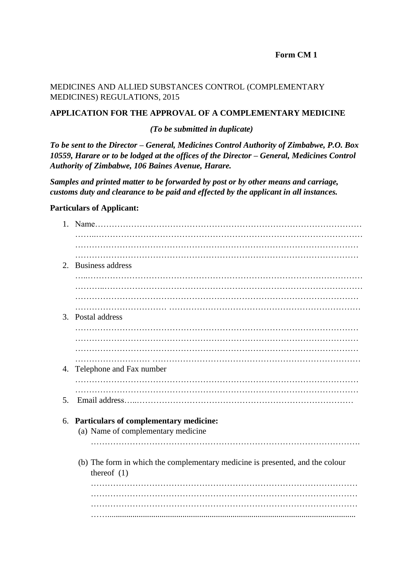### **Form CM 1**

### MEDICINES AND ALLIED SUBSTANCES CONTROL (COMPLEMENTARY MEDICINES) REGULATIONS, 2015

## **APPLICATION FOR THE APPROVAL OF A COMPLEMENTARY MEDICINE**

#### *(To be submitted in duplicate)*

*To be sent to the Director – General, Medicines Control Authority of Zimbabwe, P.O. Box 10559, Harare or to be lodged at the offices of the Director – General, Medicines Control Authority of Zimbabwe, 106 Baines Avenue, Harare.* 

*Samples and printed matter to be forwarded by post or by other means and carriage, customs duty and clearance to be paid and effected by the applicant in all instances.* 

#### **Particulars of Applicant:**

| 2. | Business address                                                                               |
|----|------------------------------------------------------------------------------------------------|
|    |                                                                                                |
|    |                                                                                                |
|    | 3. Postal address                                                                              |
|    |                                                                                                |
|    |                                                                                                |
|    |                                                                                                |
| 4. | Telephone and Fax number                                                                       |
|    |                                                                                                |
| 5. |                                                                                                |
|    | 6. Particulars of complementary medicine:<br>(a) Name of complementary medicine                |
|    | (b) The form in which the complementary medicine is presented, and the colour<br>thereof $(1)$ |
|    |                                                                                                |
|    |                                                                                                |
|    |                                                                                                |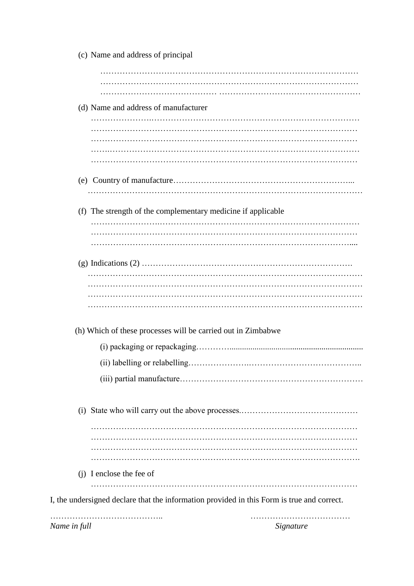| (c) Name and address of principal                            |
|--------------------------------------------------------------|
|                                                              |
|                                                              |
| (d) Name and address of manufacturer                         |
|                                                              |
|                                                              |
|                                                              |
|                                                              |
|                                                              |
| (f) The strength of the complementary medicine if applicable |
|                                                              |
|                                                              |
|                                                              |
|                                                              |
|                                                              |
|                                                              |
|                                                              |
| (h) Which of these processes will be carried out in Zimbabwe |
|                                                              |
|                                                              |
|                                                              |
|                                                              |
|                                                              |
|                                                              |
|                                                              |
| (j) I enclose the fee of                                     |
|                                                              |

*Name in full Signature*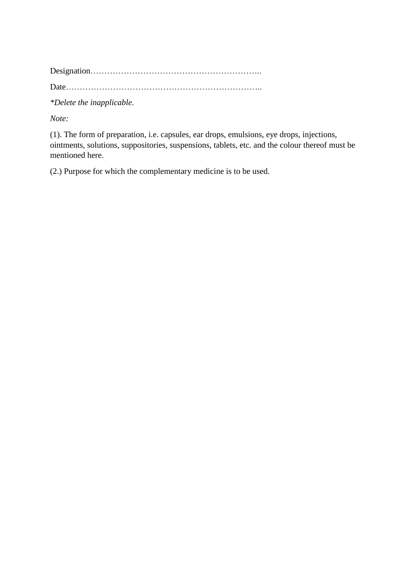Designation……………………………………………………..

Date……………………………………………………………..

*\*Delete the inapplicable.* 

*Note:* 

(1). The form of preparation, i.e. capsules, ear drops, emulsions, eye drops, injections, ointments, solutions, suppositories, suspensions, tablets, etc. and the colour thereof must be mentioned here.

(2.) Purpose for which the complementary medicine is to be used.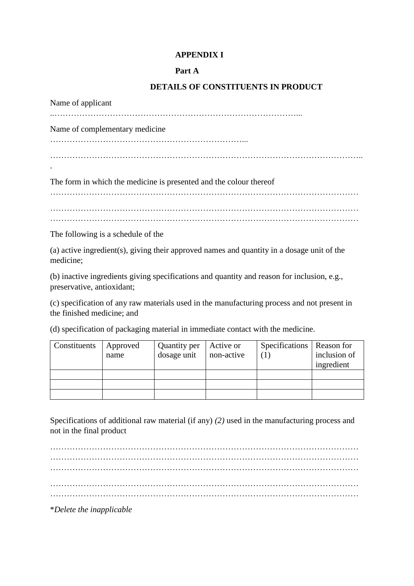## **APPENDIX I**

### **Part A**

## **DETAILS OF CONSTITUENTS IN PRODUCT**

Name of applicant ..……………………………………………………………………………... Name of complementary medicine ……………………………………………………………... ………………………………………………………………………………………………….. . The form in which the medicine is presented and the colour thereof ………………………………………………………………………………………………… ………………………………………………………………………………………………… The following is a schedule of the

(a) active ingredient(s), giving their approved names and quantity in a dosage unit of the medicine;

(b) inactive ingredients giving specifications and quantity and reason for inclusion, e.g., preservative, antioxidant;

(c) specification of any raw materials used in the manufacturing process and not present in the finished medicine; and

(d) specification of packaging material in immediate contact with the medicine.

| Constituents | Approved | Quantity per | Active or  | Specifications   Reason for |              |
|--------------|----------|--------------|------------|-----------------------------|--------------|
|              | name     | dosage unit  | non-active |                             | inclusion of |
|              |          |              |            |                             | ingredient   |
|              |          |              |            |                             |              |
|              |          |              |            |                             |              |
|              |          |              |            |                             |              |

Specifications of additional raw material (if any) *(2)* used in the manufacturing process and not in the final product

………………………………………………………………………………………………… ………………………………………………………………………………………………… ………………………………………………………………………………………………… ………………………………………………………………………………………………… …………………………………………………………………………………………………

\**Delete the inapplicable*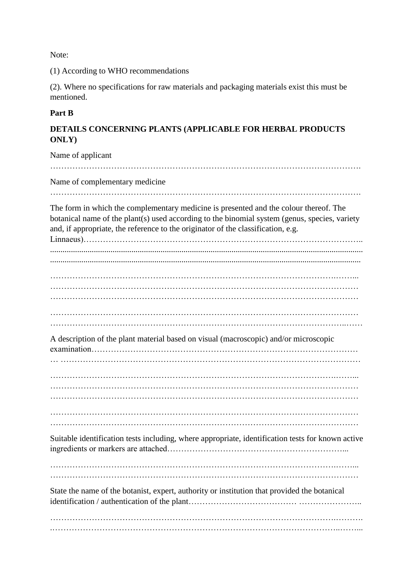Note:

(1) According to WHO recommendations

(2). Where no specifications for raw materials and packaging materials exist this must be mentioned.

## **Part B**

# **DETAILS CONCERNING PLANTS (APPLICABLE FOR HERBAL PRODUCTS ONLY)**

Name of applicant …………………………………………………………………………………………………. Name of complementary medicine …………………………………………………………………………………………………. The form in which the complementary medicine is presented and the colour thereof. The botanical name of the plant(s) used according to the binomial system (genus, species, variety and, if appropriate, the reference to the originator of the classification, e.g. Linnaeus)……………………………………………………………………………………….. ...................................................................................................................................................... ..................................................................................................................................................... ………………………………………………………………………………………….……... ………………………………………………………………………………………………… ……………………………………………………………………………………………..…… A description of the plant material based on visual (macroscopic) and/or microscopic examination…………………………………………………………………………………… ………………………………………………………………………………………….……... Suitable identification tests including, where appropriate, identification tests for known active ingredients or markers are attached………………………………………………………... State the name of the botanist, expert, authority or institution that provided the botanical identification / authentication of the plant………………………………… …………………..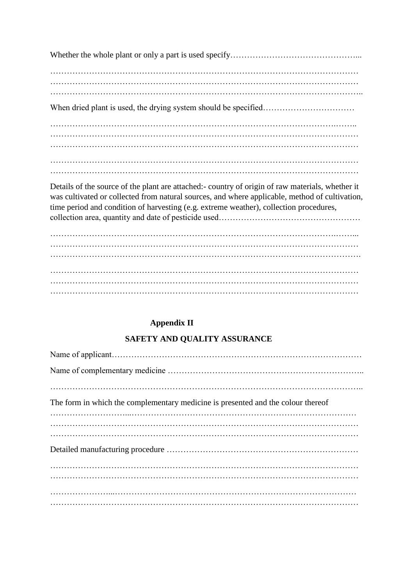Details of the source of the plant are attached:- country of origin of raw materials, whether it was cultivated or collected from natural sources, and where applicable, method of cultivation, time period and condition of harvesting (e.g. extreme weather), collection procedures, collection area, quantity and date of pesticide used……………………………………………

………………………………………………………………………………………….……... ………………………………………………………………………………………………… …………………………………………………………………………………………………. ………………………………………………………………………………………………… ………………………………………………………………………………………………… …………………………………………………………………………………………………

# **Appendix II**

# **SAFETY AND QUALITY ASSURANCE**

| The form in which the complementary medicine is presented and the colour thereof |
|----------------------------------------------------------------------------------|
|                                                                                  |
|                                                                                  |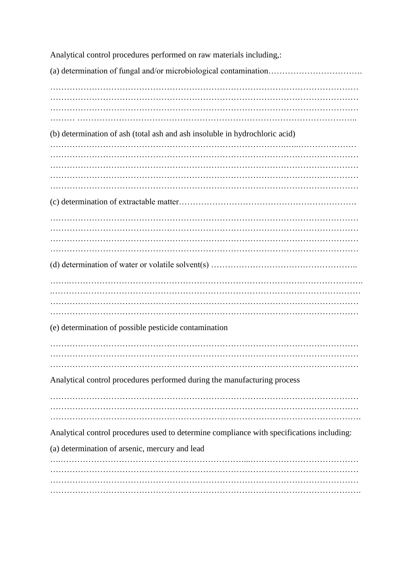Analytical control procedures performed on raw materials including,: (a) determination of fungal and/or microbiological contamination……………………………. ………………………………………………………………………………………………… ………………………………………………………………………………………………… ……… ……………………………………………………………………………………….. (b) determination of ash (total ash and ash insoluble in hydrochloric acid) ………………………………………………………………………….…..………………… ………………………………………………………………………………………………… ………………………………………………………………………………………………… ………………………………………………………………………………………………… ………………………………………………………………………………………………… (c) determination of extractable matter………………………………………………………. ………………………………………………………………………………………………… ………………………………………………………………………………………………… ………………………………………………………………………………………………… (d) determination of water or volatile solvent(s) …………………………………………….. …….……………………………………………………………………………………………. .………………………………………………………………………………………………… ………………………………………………………………………………………………… ………………………………………………………………………………………………… (e) determination of possible pesticide contamination ………………………………………………………………………………………………… ………………………………………………………………………………………………… ………………………………………………………………………………………………… Analytical control procedures performed during the manufacturing process ………………………………………………………………………………………………… ………………………………………………………………………………………………… …………………………………………………………………………………………………. Analytical control procedures used to determine compliance with specifications including: (a) determination of arsenic, mercury and lead ….…………………………………………………………...………………………………… ………………………………………………………………………………………………… ………………………………………………………………………………………………… ………………………………………………………………………………………………….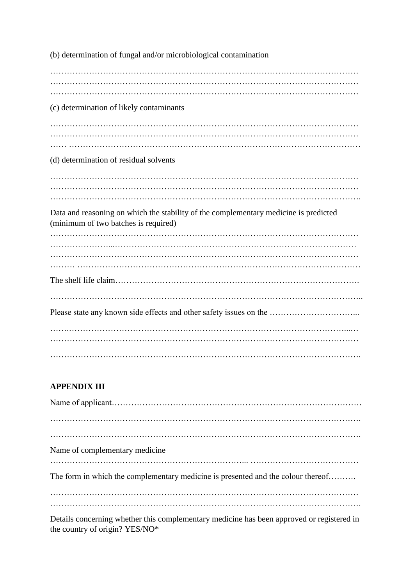| (b) determination of fungal and/or microbiological contamination                                                             |  |
|------------------------------------------------------------------------------------------------------------------------------|--|
|                                                                                                                              |  |
| (c) determination of likely contaminants                                                                                     |  |
| (d) determination of residual solvents                                                                                       |  |
|                                                                                                                              |  |
| Data and reasoning on which the stability of the complementary medicine is predicted<br>(minimum of two batches is required) |  |
|                                                                                                                              |  |
|                                                                                                                              |  |
|                                                                                                                              |  |

# **APPENDIX III**

| Name of complementary medicine                                                   |
|----------------------------------------------------------------------------------|
| The form in which the complementary medicine is presented and the colour thereof |
|                                                                                  |
|                                                                                  |

Details concerning whether this complementary medicine has been approved or registered in the country of origin? YES/NO\*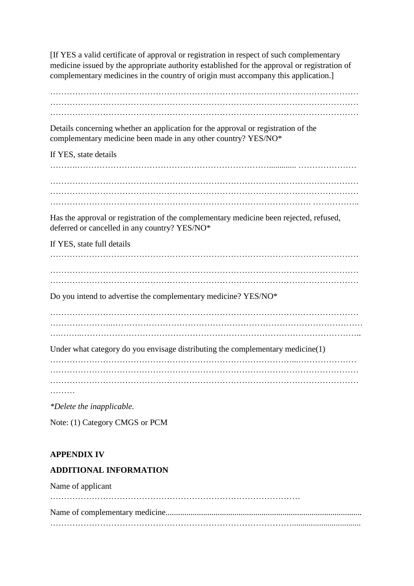[If YES a valid certificate of approval or registration in respect of such complementary medicine issued by the appropriate authority established for the approval or registration of complementary medicines in the country of origin must accompany this application.]

………………………………………………………………………………………………… …………………………………………………………………………………………………

Details concerning whether an application for the approval or registration of the complementary medicine been made in any other country? YES/NO\*

If YES, state details

……….……………………………………………………………............. ………………… ………………………………………………………………………………………………… ………………………………………………………………………………………………… …………………………………………………………………………………. ……………..

Has the approval or registration of the complementary medicine been rejected, refused, deferred or cancelled in any country? YES/NO\*

If YES, state full details

………………………………………………………………………………………………… …………………………………………………………………………………………………

Do you intend to advertise the complementary medicine? YES/NO\*

…………………..……………………………………………………………………………… ….……..……………………………………………………………………………………….. Under what category do you envisage distributing the complementary medicine(1)

……………………………………………………………………………...………………… …………………………………………………………………………………………………

*\*Delete the inapplicable.* 

Note: (1) Category CMGS or PCM

# **APPENDIX IV**

# **ADDITIONAL INFORMATION**

Name of applicant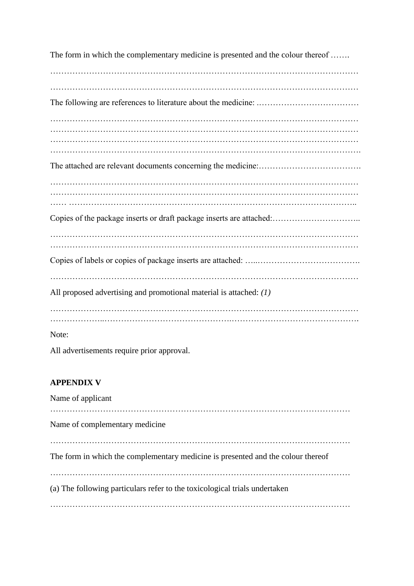The form in which the complementary medicine is presented and the colour thereof ....... ………………………………………………………………………………………………… ………………………………………………………………………………………………… The following are references to literature about the medicine: .……………………………… ………………………………………………………………………………………………… ………………………………………………………………………………………………… ………………………………………………………………………………………………… The attached are relevant documents concerning the medicine:………………………………. ………………………………………………………………………………………………… ………………………………………………………………………………………………… …… ………………………………………………………………………………………….. Copies of the package inserts or draft package inserts are attached:………………………….. ………………………………………………………………………………………………… Copies of labels or copies of package inserts are attached: …..………………………………. ………………………………………………………………………………………………… All proposed advertising and promotional material is attached: *(1)*  ………………………………………………………………………………………………… ………………..……………………………………….………………………………………. Note:

All advertisements require prior approval.

# **APPENDIX V**

Name of applicant ……………………………………………………………………………………………… Name of complementary medicine ……………………………………………………………………………………………… The form in which the complementary medicine is presented and the colour thereof ……………………………………………………………………………………………… (a) The following particulars refer to the toxicological trials undertaken ………………………………………………………………………………………………